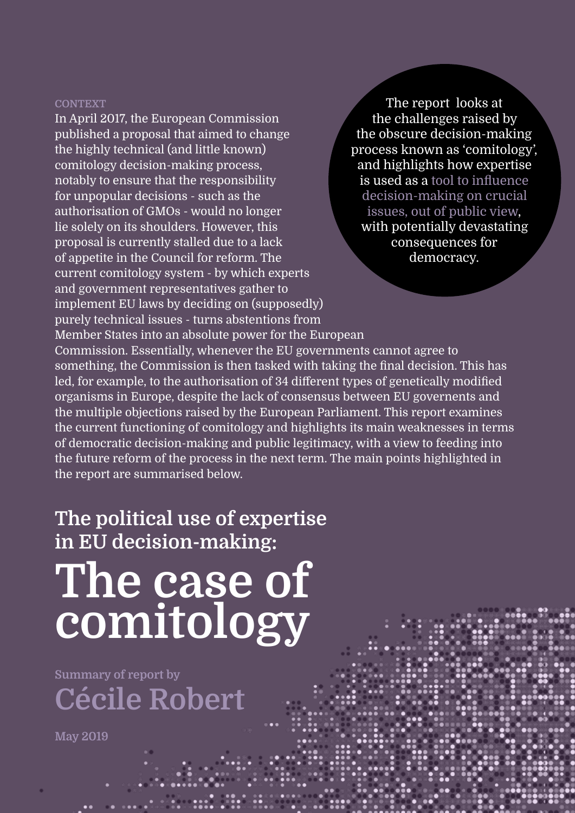## **context**

In April 2017, the European Commission published a proposal that aimed to change the highly technical (and little known) comitology decision-making process, notably to ensure that the responsibility for unpopular decisions - such as the authorisation of GMOs - would no longer lie solely on its shoulders. However, this proposal is currently stalled due to a lack of appetite in the Council for reform. The current comitology system - by which experts and government representatives gather to implement EU laws by deciding on (supposedly) purely technical issues - turns abstentions from Member States into an absolute power for the European Commission. Essentially, whenever the EU governments cannot agree to something, the Commission is then tasked with taking the final decision. This has led, for example, to the authorisation of 34 different types of genetically modified organisms in Europe, despite the lack of consensus between EU governents and the multiple objections raised by the European Parliament. This report examines the current functioning of comitology and highlights its main weaknesses in terms of democratic decision-making and public legitimacy, with a view to feeding into the future reform of the process in the next term. The main points highlighted in the report are summarised below. the challenges raised by the obscure decision-making process known as 'comitology', and highlights how expertise is used as a tool to influence decision-making on crucial issues, out of public view, with potentially devastating consequences for democracy.

The report looks at

## **The political use of expertise in EU decision-making: The case of comitology**

**Summary of report by Cécile Robert**

**May 2019**